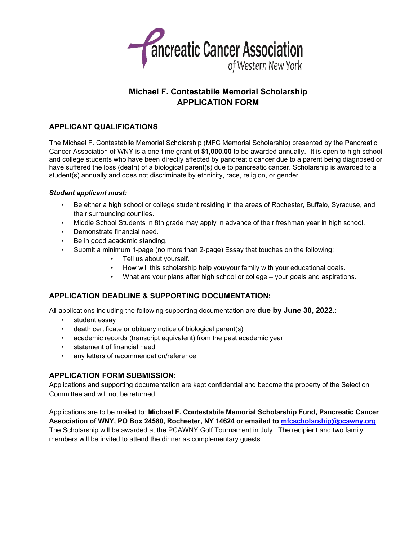

# **Michael F. Contestabile Memorial Scholarship APPLICATION FORM**

## **APPLICANT QUALIFICATIONS**

The Michael F. Contestabile Memorial Scholarship (MFC Memorial Scholarship) presented by the Pancreatic Cancer Association of WNY is a one-time grant of **\$1,000.00** to be awarded annually. It is open to high school and college students who have been directly affected by pancreatic cancer due to a parent being diagnosed or have suffered the loss (death) of a biological parent(s) due to pancreatic cancer. Scholarship is awarded to a student(s) annually and does not discriminate by ethnicity, race, religion, or gender.

#### *Student applicant must:*

- Be either a high school or college student residing in the areas of Rochester, Buffalo, Syracuse, and their surrounding counties.
- Middle School Students in 8th grade may apply in advance of their freshman year in high school.
- Demonstrate financial need.
- Be in good academic standing.
- Submit a minimum 1-page (no more than 2-page) Essay that touches on the following:
	- Tell us about yourself.
	- How will this scholarship help you/your family with your educational goals.
	- What are your plans after high school or college your goals and aspirations.

## **APPLICATION DEADLINE & SUPPORTING DOCUMENTATION:**

All applications including the following supporting documentation are **due by June 30, 2022.**:

- student essay
- death certificate or obituary notice of biological parent(s)
- academic records (transcript equivalent) from the past academic year
- statement of financial need
- any letters of recommendation/reference

## **APPLICATION FORM SUBMISSION**:

Applications and supporting documentation are kept confidential and become the property of the Selection Committee and will not be returned.

Applications are to be mailed to: **Michael F. Contestabile Memorial Scholarship Fund, Pancreatic Cancer Association of WNY, PO Box 24580, Rochester, NY 14624 or emailed to mfcscholarship@pcawny.org**. The Scholarship will be awarded at the PCAWNY Golf Tournament in July. The recipient and two family members will be invited to attend the dinner as complementary guests.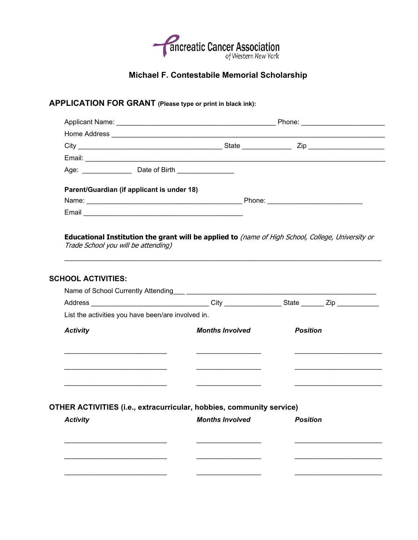

# **Michael F. Contestabile Memorial Scholarship**

# **APPLICATION FOR GRANT (Please type or print in black ink):**

| Age: _________________ Date of Birth _______________                                                |                        |                                                                                                                     |
|-----------------------------------------------------------------------------------------------------|------------------------|---------------------------------------------------------------------------------------------------------------------|
| Parent/Guardian (if applicant is under 18)                                                          |                        |                                                                                                                     |
|                                                                                                     |                        |                                                                                                                     |
|                                                                                                     |                        |                                                                                                                     |
|                                                                                                     |                        | <u> 1989 - Johann Barbara, martxa alemaniar argamento estas esperanto-se estas estas estas estas estas estas es</u> |
| <b>SCHOOL ACTIVITIES:</b>                                                                           |                        |                                                                                                                     |
|                                                                                                     |                        |                                                                                                                     |
| Address __________________________________City ________________State _______Zip ___________________ |                        |                                                                                                                     |
| List the activities you have been/are involved in.                                                  |                        |                                                                                                                     |
|                                                                                                     |                        |                                                                                                                     |
| <b>Activity</b>                                                                                     | <b>Months Involved</b> | <b>Position</b>                                                                                                     |
|                                                                                                     |                        |                                                                                                                     |
|                                                                                                     |                        |                                                                                                                     |
|                                                                                                     |                        |                                                                                                                     |
|                                                                                                     |                        |                                                                                                                     |
|                                                                                                     |                        |                                                                                                                     |
|                                                                                                     |                        |                                                                                                                     |
| OTHER ACTIVITIES (i.e., extracurricular, hobbies, community service)<br><b>Activity</b>             | <b>Months Involved</b> | <b>Position</b>                                                                                                     |
|                                                                                                     |                        |                                                                                                                     |
|                                                                                                     |                        | <u> 1989 - Johann Barbara, martin amerikan personal (</u>                                                           |